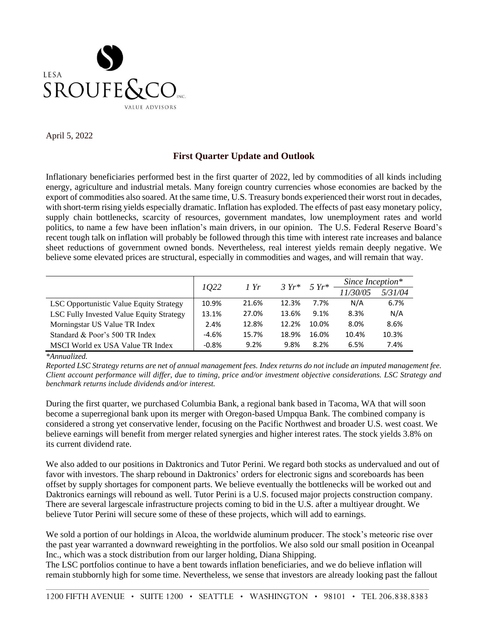

April 5, 2022

## **First Quarter Update and Outlook**

Inflationary beneficiaries performed best in the first quarter of 2022, led by commodities of all kinds including energy, agriculture and industrial metals. Many foreign country currencies whose economies are backed by the export of commodities also soared. At the same time, U.S. Treasury bonds experienced their worst rout in decades, with short-term rising yields especially dramatic. Inflation has exploded. The effects of past easy monetary policy, supply chain bottlenecks, scarcity of resources, government mandates, low unemployment rates and world politics, to name a few have been inflation's main drivers, in our opinion. The U.S. Federal Reserve Board's recent tough talk on inflation will probably be followed through this time with interest rate increases and balance sheet reductions of government owned bonds. Nevertheless, real interest yields remain deeply negative. We believe some elevated prices are structural, especially in commodities and wages, and will remain that way.

|                                          | 1022    | 1 Yr  | $3 Yr^*$ |       | $5 Yr^*$ Since Inception* |         |
|------------------------------------------|---------|-------|----------|-------|---------------------------|---------|
|                                          |         |       |          |       | 11/30/05                  | 5/31/04 |
| LSC Opportunistic Value Equity Strategy  | 10.9%   | 21.6% | 12.3%    | 7.7%  | N/A                       | 6.7%    |
| LSC Fully Invested Value Equity Strategy | 13.1%   | 27.0% | 13.6%    | 9.1%  | 8.3%                      | N/A     |
| Morningstar US Value TR Index            | 2.4%    | 12.8% | 12.2%    | 10.0% | 8.0%                      | 8.6%    |
| Standard & Poor's 500 TR Index           | $-4.6%$ | 15.7% | 18.9%    | 16.0% | 10.4%                     | 10.3%   |
| MSCI World ex USA Value TR Index         | $-0.8%$ | 9.2%  | 9.8%     | 8.2%  | 6.5%                      | 7.4%    |

*\*Annualized.*

*Reported LSC Strategy returns are net of annual management fees. Index returns do not include an imputed management fee. Client account performance will differ, due to timing, price and/or investment objective considerations. LSC Strategy and benchmark returns include dividends and/or interest.* 

During the first quarter, we purchased Columbia Bank, a regional bank based in Tacoma, WA that will soon become a superregional bank upon its merger with Oregon-based Umpqua Bank. The combined company is considered a strong yet conservative lender, focusing on the Pacific Northwest and broader U.S. west coast. We believe earnings will benefit from merger related synergies and higher interest rates. The stock yields 3.8% on its current dividend rate.

We also added to our positions in Daktronics and Tutor Perini. We regard both stocks as undervalued and out of favor with investors. The sharp rebound in Daktronics' orders for electronic signs and scoreboards has been offset by supply shortages for component parts. We believe eventually the bottlenecks will be worked out and Daktronics earnings will rebound as well. Tutor Perini is a U.S. focused major projects construction company. There are several largescale infrastructure projects coming to bid in the U.S. after a multiyear drought. We believe Tutor Perini will secure some of these of these projects, which will add to earnings.

We sold a portion of our holdings in Alcoa, the worldwide aluminum producer. The stock's meteoric rise over the past year warranted a downward reweighting in the portfolios. We also sold our small position in Oceanpal Inc., which was a stock distribution from our larger holding, Diana Shipping.

The LSC portfolios continue to have a bent towards inflation beneficiaries, and we do believe inflation will remain stubbornly high for some time. Nevertheless, we sense that investors are already looking past the fallout